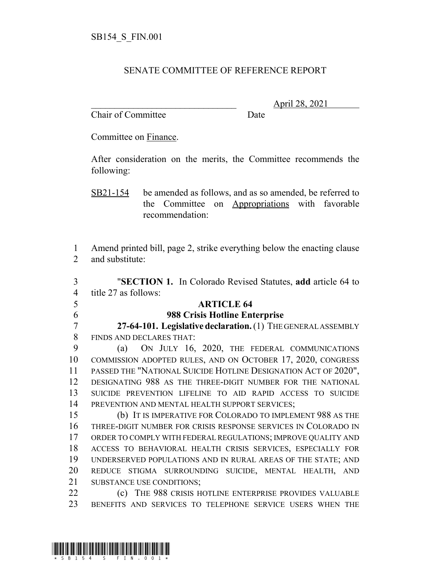## SENATE COMMITTEE OF REFERENCE REPORT

Chair of Committee Date

\_\_\_\_\_\_\_\_\_\_\_\_\_\_\_\_\_\_\_\_\_\_\_\_\_\_\_\_\_\_\_ April 28, 2021

Committee on Finance.

After consideration on the merits, the Committee recommends the following:

SB21-154 be amended as follows, and as so amended, be referred to the Committee on Appropriations with favorable recommendation:

 Amend printed bill, page 2, strike everything below the enacting clause and substitute:

 "**SECTION 1.** In Colorado Revised Statutes, **add** article 64 to title 27 as follows: **ARTICLE 64 988 Crisis Hotline Enterprise 27-64-101. Legislative declaration.** (1) THE GENERAL ASSEMBLY FINDS AND DECLARES THAT: (a) ON JULY 16, 2020, THE FEDERAL COMMUNICATIONS COMMISSION ADOPTED RULES, AND ON OCTOBER 17, 2020, CONGRESS PASSED THE "NATIONAL SUICIDE HOTLINE DESIGNATION ACT OF 2020", DESIGNATING 988 AS THE THREE-DIGIT NUMBER FOR THE NATIONAL SUICIDE PREVENTION LIFELINE TO AID RAPID ACCESS TO SUICIDE 14 PREVENTION AND MENTAL HEALTH SUPPORT SERVICES; (b) IT IS IMPERATIVE FOR COLORADO TO IMPLEMENT 988 AS THE THREE-DIGIT NUMBER FOR CRISIS RESPONSE SERVICES IN COLORADO IN ORDER TO COMPLY WITH FEDERAL REGULATIONS; IMPROVE QUALITY AND ACCESS TO BEHAVIORAL HEALTH CRISIS SERVICES, ESPECIALLY FOR UNDERSERVED POPULATIONS AND IN RURAL AREAS OF THE STATE; AND REDUCE STIGMA SURROUNDING SUICIDE, MENTAL HEALTH, AND SUBSTANCE USE CONDITIONS;

 (c) THE 988 CRISIS HOTLINE ENTERPRISE PROVIDES VALUABLE BENEFITS AND SERVICES TO TELEPHONE SERVICE USERS WHEN THE

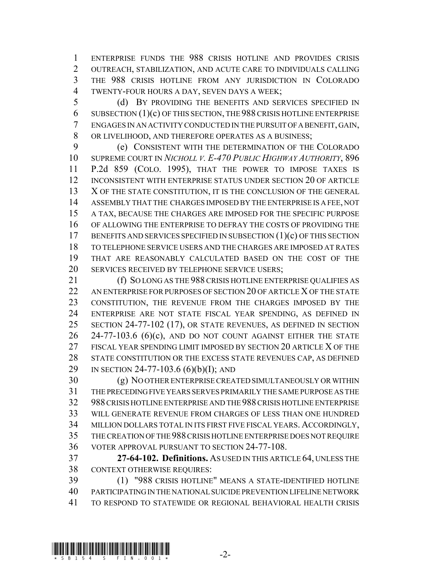ENTERPRISE FUNDS THE 988 CRISIS HOTLINE AND PROVIDES CRISIS OUTREACH, STABILIZATION, AND ACUTE CARE TO INDIVIDUALS CALLING THE 988 CRISIS HOTLINE FROM ANY JURISDICTION IN COLORADO TWENTY-FOUR HOURS A DAY, SEVEN DAYS A WEEK;

 (d) BY PROVIDING THE BENEFITS AND SERVICES SPECIFIED IN SUBSECTION (1)(c) OF THIS SECTION, THE 988 CRISIS HOTLINE ENTERPRISE ENGAGES IN AN ACTIVITY CONDUCTED IN THE PURSUIT OF A BENEFIT, GAIN, OR LIVELIHOOD, AND THEREFORE OPERATES AS A BUSINESS;

 (e) CONSISTENT WITH THE DETERMINATION OF THE COLORADO SUPREME COURT IN *NICHOLL V. E-470 PUBLIC HIGHWAY AUTHORITY*, 896 P.2d 859 (COLO. 1995), THAT THE POWER TO IMPOSE TAXES IS INCONSISTENT WITH ENTERPRISE STATUS UNDER SECTION 20 OF ARTICLE 13 X OF THE STATE CONSTITUTION, IT IS THE CONCLUSION OF THE GENERAL ASSEMBLY THAT THE CHARGES IMPOSED BY THE ENTERPRISE IS A FEE, NOT A TAX, BECAUSE THE CHARGES ARE IMPOSED FOR THE SPECIFIC PURPOSE OF ALLOWING THE ENTERPRISE TO DEFRAY THE COSTS OF PROVIDING THE 17 BENEFITS AND SERVICES SPECIFIED IN SUBSECTION (1)(c) OF THIS SECTION TO TELEPHONE SERVICE USERS AND THE CHARGES ARE IMPOSED AT RATES THAT ARE REASONABLY CALCULATED BASED ON THE COST OF THE SERVICES RECEIVED BY TELEPHONE SERVICE USERS;

 (f) SO LONG AS THE 988 CRISIS HOTLINE ENTERPRISE QUALIFIES AS 22 AN ENTERPRISE FOR PURPOSES OF SECTION 20 OF ARTICLE X OF THE STATE CONSTITUTION, THE REVENUE FROM THE CHARGES IMPOSED BY THE ENTERPRISE ARE NOT STATE FISCAL YEAR SPENDING, AS DEFINED IN SECTION 24-77-102 (17), OR STATE REVENUES, AS DEFINED IN SECTION 24-77-103.6 (6)(c), AND DO NOT COUNT AGAINST EITHER THE STATE 27 FISCAL YEAR SPENDING LIMIT IMPOSED BY SECTION 20 ARTICLE X OF THE STATE CONSTITUTION OR THE EXCESS STATE REVENUES CAP, AS DEFINED 29 IN SECTION 24-77-103.6 (6)(b)(I); AND

 (g) NO OTHER ENTERPRISE CREATED SIMULTANEOUSLY OR WITHIN THE PRECEDING FIVE YEARS SERVES PRIMARILY THE SAME PURPOSE AS THE 988 CRISIS HOTLINE ENTERPRISE AND THE 988 CRISIS HOTLINE ENTERPRISE WILL GENERATE REVENUE FROM CHARGES OF LESS THAN ONE HUNDRED MILLION DOLLARS TOTAL IN ITS FIRST FIVE FISCAL YEARS. ACCORDINGLY, THE CREATION OF THE 988 CRISIS HOTLINE ENTERPRISE DOES NOT REQUIRE VOTER APPROVAL PURSUANT TO SECTION 24-77-108.

 **27-64-102. Definitions.** AS USED IN THIS ARTICLE 64, UNLESS THE CONTEXT OTHERWISE REQUIRES:

 (1) "988 CRISIS HOTLINE" MEANS A STATE-IDENTIFIED HOTLINE PARTICIPATING IN THE NATIONAL SUICIDE PREVENTION LIFELINE NETWORK TO RESPOND TO STATEWIDE OR REGIONAL BEHAVIORAL HEALTH CRISIS

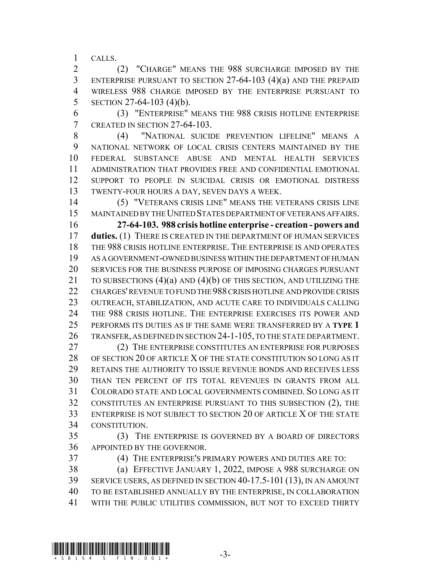CALLS.

 (2) "CHARGE" MEANS THE 988 SURCHARGE IMPOSED BY THE ENTERPRISE PURSUANT TO SECTION 27-64-103 (4)(a) AND THE PREPAID WIRELESS 988 CHARGE IMPOSED BY THE ENTERPRISE PURSUANT TO SECTION 27-64-103 (4)(b).

 (3) "ENTERPRISE" MEANS THE 988 CRISIS HOTLINE ENTERPRISE CREATED IN SECTION 27-64-103.

 (4) "NATIONAL SUICIDE PREVENTION LIFELINE" MEANS A NATIONAL NETWORK OF LOCAL CRISIS CENTERS MAINTAINED BY THE FEDERAL SUBSTANCE ABUSE AND MENTAL HEALTH SERVICES ADMINISTRATION THAT PROVIDES FREE AND CONFIDENTIAL EMOTIONAL SUPPORT TO PEOPLE IN SUICIDAL CRISIS OR EMOTIONAL DISTRESS TWENTY-FOUR HOURS A DAY, SEVEN DAYS A WEEK.

 (5) "VETERANS CRISIS LINE" MEANS THE VETERANS CRISIS LINE MAINTAINED BY THE UNITED STATES DEPARTMENT OF VETERANS AFFAIRS. **27-64-103. 988 crisis hotline enterprise - creation - powers and duties.** (1) THERE IS CREATED IN THE DEPARTMENT OF HUMAN SERVICES THE 988 CRISIS HOTLINE ENTERPRISE. THE ENTERPRISE IS AND OPERATES AS A GOVERNMENT-OWNED BUSINESS WITHIN THE DEPARTMENT OF HUMAN SERVICES FOR THE BUSINESS PURPOSE OF IMPOSING CHARGES PURSUANT 21 TO SUBSECTIONS (4)(a) AND (4)(b) OF THIS SECTION, AND UTILIZING THE CHARGES' REVENUE TO FUND THE 988 CRISIS HOTLINE AND PROVIDE CRISIS OUTREACH, STABILIZATION, AND ACUTE CARE TO INDIVIDUALS CALLING THE 988 CRISIS HOTLINE. THE ENTERPRISE EXERCISES ITS POWER AND PERFORMS ITS DUTIES AS IF THE SAME WERE TRANSFERRED BY A **TYPE 1** TRANSFER, AS DEFINED IN SECTION 24-1-105, TO THE STATE DEPARTMENT.

 (2) THE ENTERPRISE CONSTITUTES AN ENTERPRISE FOR PURPOSES 28 OF SECTION 20 OF ARTICLE X OF THE STATE CONSTITUTION SO LONG AS IT RETAINS THE AUTHORITY TO ISSUE REVENUE BONDS AND RECEIVES LESS THAN TEN PERCENT OF ITS TOTAL REVENUES IN GRANTS FROM ALL COLORADO STATE AND LOCAL GOVERNMENTS COMBINED. SO LONG AS IT CONSTITUTES AN ENTERPRISE PURSUANT TO THIS SUBSECTION (2), THE ENTERPRISE IS NOT SUBJECT TO SECTION 20 OF ARTICLE X OF THE STATE CONSTITUTION.

 (3) THE ENTERPRISE IS GOVERNED BY A BOARD OF DIRECTORS APPOINTED BY THE GOVERNOR.

(4) THE ENTERPRISE'S PRIMARY POWERS AND DUTIES ARE TO:

 (a) EFFECTIVE JANUARY 1, 2022, IMPOSE A 988 SURCHARGE ON SERVICE USERS, AS DEFINED IN SECTION 40-17.5-101 (13), IN AN AMOUNT TO BE ESTABLISHED ANNUALLY BY THE ENTERPRISE, IN COLLABORATION WITH THE PUBLIC UTILITIES COMMISSION, BUT NOT TO EXCEED THIRTY

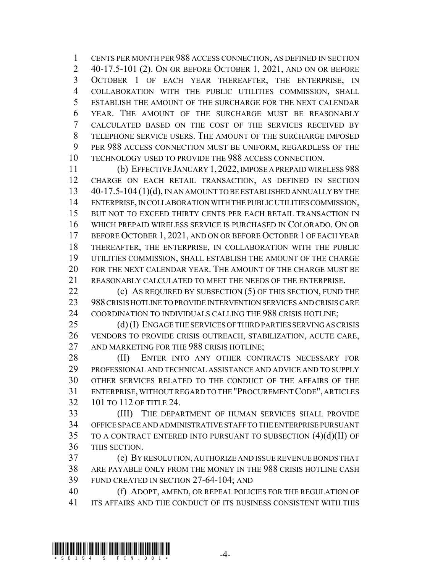CENTS PER MONTH PER 988 ACCESS CONNECTION, AS DEFINED IN SECTION 40-17.5-101 (2). ON OR BEFORE OCTOBER 1, 2021, AND ON OR BEFORE OCTOBER 1 OF EACH YEAR THEREAFTER, THE ENTERPRISE, IN COLLABORATION WITH THE PUBLIC UTILITIES COMMISSION, SHALL ESTABLISH THE AMOUNT OF THE SURCHARGE FOR THE NEXT CALENDAR YEAR. THE AMOUNT OF THE SURCHARGE MUST BE REASONABLY CALCULATED BASED ON THE COST OF THE SERVICES RECEIVED BY TELEPHONE SERVICE USERS. THE AMOUNT OF THE SURCHARGE IMPOSED PER 988 ACCESS CONNECTION MUST BE UNIFORM, REGARDLESS OF THE TECHNOLOGY USED TO PROVIDE THE 988 ACCESS CONNECTION.

 (b) EFFECTIVE JANUARY 1, 2022, IMPOSE A PREPAID WIRELESS 988 CHARGE ON EACH RETAIL TRANSACTION, AS DEFINED IN SECTION 40-17.5-104 (1)(d), IN AN AMOUNT TO BE ESTABLISHED ANNUALLY BY THE ENTERPRISE, IN COLLABORATION WITH THE PUBLIC UTILITIES COMMISSION, BUT NOT TO EXCEED THIRTY CENTS PER EACH RETAIL TRANSACTION IN WHICH PREPAID WIRELESS SERVICE IS PURCHASED IN COLORADO. ON OR 17 BEFORE OCTOBER 1, 2021, AND ON OR BEFORE OCTOBER 1 OF EACH YEAR THEREAFTER, THE ENTERPRISE, IN COLLABORATION WITH THE PUBLIC UTILITIES COMMISSION, SHALL ESTABLISH THE AMOUNT OF THE CHARGE FOR THE NEXT CALENDAR YEAR. THE AMOUNT OF THE CHARGE MUST BE REASONABLY CALCULATED TO MEET THE NEEDS OF THE ENTERPRISE.

**(c)** AS REQUIRED BY SUBSECTION (5) OF THIS SECTION, FUND THE 988 CRISIS HOTLINE TO PROVIDE INTERVENTION SERVICES AND CRISIS CARE COORDINATION TO INDIVIDUALS CALLING THE 988 CRISIS HOTLINE;

 (d) (I) ENGAGE THE SERVICES OF THIRD PARTIES SERVING AS CRISIS VENDORS TO PROVIDE CRISIS OUTREACH, STABILIZATION, ACUTE CARE, 27 AND MARKETING FOR THE 988 CRISIS HOTLINE:

28 (II) ENTER INTO ANY OTHER CONTRACTS NECESSARY FOR PROFESSIONAL AND TECHNICAL ASSISTANCE AND ADVICE AND TO SUPPLY OTHER SERVICES RELATED TO THE CONDUCT OF THE AFFAIRS OF THE ENTERPRISE, WITHOUT REGARD TO THE "PROCUREMENT CODE", ARTICLES 101 TO 112 OF TITLE 24.

 (III) THE DEPARTMENT OF HUMAN SERVICES SHALL PROVIDE OFFICE SPACE AND ADMINISTRATIVE STAFF TO THE ENTERPRISE PURSUANT TO A CONTRACT ENTERED INTO PURSUANT TO SUBSECTION (4)(d)(II) OF THIS SECTION.

 (e) BY RESOLUTION, AUTHORIZE AND ISSUE REVENUE BONDS THAT ARE PAYABLE ONLY FROM THE MONEY IN THE 988 CRISIS HOTLINE CASH FUND CREATED IN SECTION 27-64-104; AND

 (f) ADOPT, AMEND, OR REPEAL POLICIES FOR THE REGULATION OF ITS AFFAIRS AND THE CONDUCT OF ITS BUSINESS CONSISTENT WITH THIS

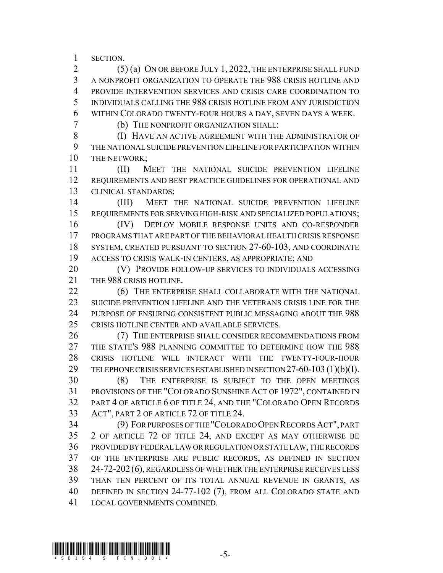SECTION.

 (5) (a) ON OR BEFORE JULY 1, 2022, THE ENTERPRISE SHALL FUND A NONPROFIT ORGANIZATION TO OPERATE THE 988 CRISIS HOTLINE AND PROVIDE INTERVENTION SERVICES AND CRISIS CARE COORDINATION TO INDIVIDUALS CALLING THE 988 CRISIS HOTLINE FROM ANY JURISDICTION WITHIN COLORADO TWENTY-FOUR HOURS A DAY, SEVEN DAYS A WEEK.

(b) THE NONPROFIT ORGANIZATION SHALL:

8 (I) HAVE AN ACTIVE AGREEMENT WITH THE ADMINISTRATOR OF THE NATIONAL SUICIDE PREVENTION LIFELINE FOR PARTICIPATION WITHIN 10 THE NETWORK;

 (II) MEET THE NATIONAL SUICIDE PREVENTION LIFELINE REQUIREMENTS AND BEST PRACTICE GUIDELINES FOR OPERATIONAL AND CLINICAL STANDARDS;

 (III) MEET THE NATIONAL SUICIDE PREVENTION LIFELINE REQUIREMENTS FOR SERVING HIGH-RISK AND SPECIALIZED POPULATIONS; (IV) DEPLOY MOBILE RESPONSE UNITS AND CO-RESPONDER PROGRAMS THAT ARE PART OF THE BEHAVIORAL HEALTH CRISIS RESPONSE SYSTEM, CREATED PURSUANT TO SECTION 27-60-103, AND COORDINATE ACCESS TO CRISIS WALK-IN CENTERS, AS APPROPRIATE; AND

 (V) PROVIDE FOLLOW-UP SERVICES TO INDIVIDUALS ACCESSING 21 THE 988 CRISIS HOTLINE.

**(6) THE ENTERPRISE SHALL COLLABORATE WITH THE NATIONAL**  SUICIDE PREVENTION LIFELINE AND THE VETERANS CRISIS LINE FOR THE PURPOSE OF ENSURING CONSISTENT PUBLIC MESSAGING ABOUT THE 988 CRISIS HOTLINE CENTER AND AVAILABLE SERVICES.

 (7) THE ENTERPRISE SHALL CONSIDER RECOMMENDATIONS FROM THE STATE'S 988 PLANNING COMMITTEE TO DETERMINE HOW THE 988 CRISIS HOTLINE WILL INTERACT WITH THE TWENTY-FOUR-HOUR TELEPHONE CRISIS SERVICES ESTABLISHED IN SECTION 27-60-103 (1)(b)(I). (8) THE ENTERPRISE IS SUBJECT TO THE OPEN MEETINGS PROVISIONS OF THE "COLORADO SUNSHINE ACT OF 1972", CONTAINED IN PART 4 OF ARTICLE 6 OF TITLE 24, AND THE "COLORADO OPEN RECORDS ACT", PART 2 OF ARTICLE 72 OF TITLE 24.

 (9) FOR PURPOSES OF THE "COLORADO OPEN RECORDS ACT", PART 2 OF ARTICLE 72 OF TITLE 24, AND EXCEPT AS MAY OTHERWISE BE PROVIDED BY FEDERAL LAW OR REGULATION OR STATE LAW, THE RECORDS OF THE ENTERPRISE ARE PUBLIC RECORDS, AS DEFINED IN SECTION 24-72-202 (6), REGARDLESS OF WHETHER THE ENTERPRISE RECEIVES LESS THAN TEN PERCENT OF ITS TOTAL ANNUAL REVENUE IN GRANTS, AS DEFINED IN SECTION 24-77-102 (7), FROM ALL COLORADO STATE AND LOCAL GOVERNMENTS COMBINED.

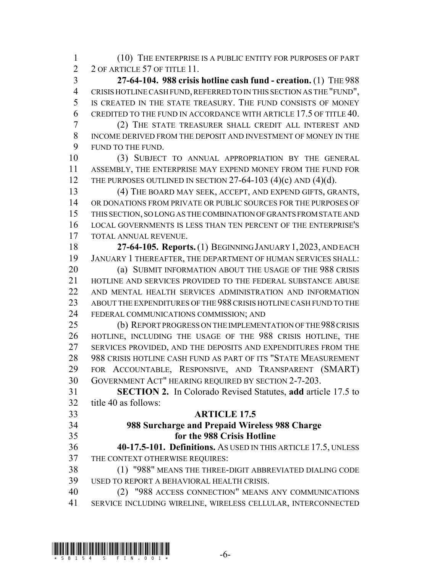(10) THE ENTERPRISE IS A PUBLIC ENTITY FOR PURPOSES OF PART 2 2 OF ARTICLE 57 OF TITLE 11.

 **27-64-104. 988 crisis hotline cash fund - creation.** (1) THE 988 CRISIS HOTLINE CASH FUND, REFERRED TO IN THIS SECTION AS THE "FUND", IS CREATED IN THE STATE TREASURY. THE FUND CONSISTS OF MONEY CREDITED TO THE FUND IN ACCORDANCE WITH ARTICLE 17.5 OF TITLE 40.

 (2) THE STATE TREASURER SHALL CREDIT ALL INTEREST AND INCOME DERIVED FROM THE DEPOSIT AND INVESTMENT OF MONEY IN THE FUND TO THE FUND.

 (3) SUBJECT TO ANNUAL APPROPRIATION BY THE GENERAL ASSEMBLY, THE ENTERPRISE MAY EXPEND MONEY FROM THE FUND FOR 12 THE PURPOSES OUTLINED IN SECTION 27-64-103  $(4)(c)$  AND  $(4)(d)$ .

 (4) THE BOARD MAY SEEK, ACCEPT, AND EXPEND GIFTS, GRANTS, OR DONATIONS FROM PRIVATE OR PUBLIC SOURCES FOR THE PURPOSES OF THIS SECTION, SO LONG AS THE COMBINATION OF GRANTS FROM STATE AND LOCAL GOVERNMENTS IS LESS THAN TEN PERCENT OF THE ENTERPRISE'S TOTAL ANNUAL REVENUE.

 **27-64-105. Reports.** (1) BEGINNING JANUARY 1,2023, AND EACH JANUARY 1 THEREAFTER, THE DEPARTMENT OF HUMAN SERVICES SHALL: **(a) SUBMIT INFORMATION ABOUT THE USAGE OF THE 988 CRISIS** HOTLINE AND SERVICES PROVIDED TO THE FEDERAL SUBSTANCE ABUSE

 AND MENTAL HEALTH SERVICES ADMINISTRATION AND INFORMATION ABOUT THE EXPENDITURES OF THE 988 CRISIS HOTLINE CASH FUND TO THE FEDERAL COMMUNICATIONS COMMISSION; AND

 (b) REPORT PROGRESS ON THE IMPLEMENTATION OF THE 988 CRISIS HOTLINE, INCLUDING THE USAGE OF THE 988 CRISIS HOTLINE, THE SERVICES PROVIDED, AND THE DEPOSITS AND EXPENDITURES FROM THE 988 CRISIS HOTLINE CASH FUND AS PART OF ITS "STATE MEASUREMENT FOR ACCOUNTABLE, RESPONSIVE, AND TRANSPARENT (SMART) GOVERNMENT ACT" HEARING REQUIRED BY SECTION 2-7-203.

 **SECTION 2.** In Colorado Revised Statutes, **add** article 17.5 to title 40 as follows:

## **ARTICLE 17.5**

## **988 Surcharge and Prepaid Wireless 988 Charge for the 988 Crisis Hotline**

 **40-17.5-101. Definitions.** AS USED IN THIS ARTICLE 17.5, UNLESS THE CONTEXT OTHERWISE REQUIRES:

 (1) "988" MEANS THE THREE-DIGIT ABBREVIATED DIALING CODE USED TO REPORT A BEHAVIORAL HEALTH CRISIS.

 (2) "988 ACCESS CONNECTION" MEANS ANY COMMUNICATIONS SERVICE INCLUDING WIRELINE, WIRELESS CELLULAR, INTERCONNECTED

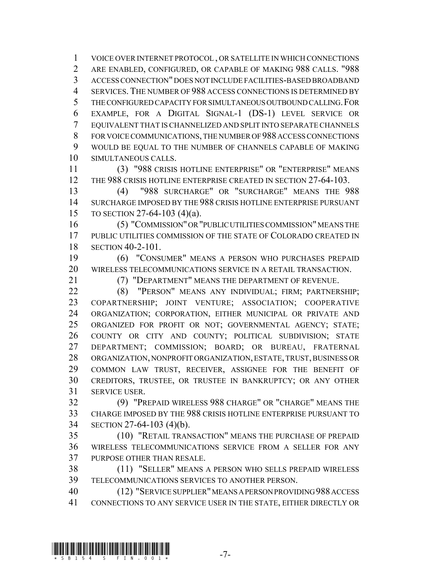VOICE OVER INTERNET PROTOCOL , OR SATELLITE IN WHICH CONNECTIONS ARE ENABLED, CONFIGURED, OR CAPABLE OF MAKING 988 CALLS. "988 ACCESS CONNECTION" DOES NOT INCLUDE FACILITIES-BASED BROADBAND SERVICES. THE NUMBER OF 988 ACCESS CONNECTIONS IS DETERMINED BY THE CONFIGURED CAPACITY FOR SIMULTANEOUS OUTBOUND CALLING.FOR EXAMPLE, FOR A DIGITAL SIGNAL-1 (DS-1) LEVEL SERVICE OR EQUIVALENT THAT IS CHANNELIZED AND SPLIT INTO SEPARATE CHANNELS FOR VOICE COMMUNICATIONS, THE NUMBER OF 988 ACCESS CONNECTIONS WOULD BE EQUAL TO THE NUMBER OF CHANNELS CAPABLE OF MAKING SIMULTANEOUS CALLS.

 (3) "988 CRISIS HOTLINE ENTERPRISE" OR "ENTERPRISE" MEANS 12 THE 988 CRISIS HOTLINE ENTERPRISE CREATED IN SECTION 27-64-103.

 (4) "988 SURCHARGE" OR "SURCHARGE" MEANS THE 988 SURCHARGE IMPOSED BY THE 988 CRISIS HOTLINE ENTERPRISE PURSUANT TO SECTION 27-64-103 (4)(a).

 (5) "COMMISSION" OR "PUBLIC UTILITIES COMMISSION" MEANS THE PUBLIC UTILITIES COMMISSION OF THE STATE OF COLORADO CREATED IN SECTION 40-2-101.

 (6) "CONSUMER" MEANS A PERSON WHO PURCHASES PREPAID WIRELESS TELECOMMUNICATIONS SERVICE IN A RETAIL TRANSACTION.

(7) "DEPARTMENT" MEANS THE DEPARTMENT OF REVENUE.

**(8) "PERSON" MEANS ANY INDIVIDUAL; FIRM; PARTNERSHIP;**  COPARTNERSHIP; JOINT VENTURE; ASSOCIATION; COOPERATIVE ORGANIZATION; CORPORATION, EITHER MUNICIPAL OR PRIVATE AND ORGANIZED FOR PROFIT OR NOT; GOVERNMENTAL AGENCY; STATE; COUNTY OR CITY AND COUNTY; POLITICAL SUBDIVISION; STATE DEPARTMENT; COMMISSION; BOARD; OR BUREAU, FRATERNAL ORGANIZATION, NONPROFIT ORGANIZATION, ESTATE, TRUST, BUSINESS OR COMMON LAW TRUST, RECEIVER, ASSIGNEE FOR THE BENEFIT OF CREDITORS, TRUSTEE, OR TRUSTEE IN BANKRUPTCY; OR ANY OTHER SERVICE USER.

 (9) "PREPAID WIRELESS 988 CHARGE" OR "CHARGE" MEANS THE CHARGE IMPOSED BY THE 988 CRISIS HOTLINE ENTERPRISE PURSUANT TO SECTION 27-64-103 (4)(b).

 (10) "RETAIL TRANSACTION" MEANS THE PURCHASE OF PREPAID WIRELESS TELECOMMUNICATIONS SERVICE FROM A SELLER FOR ANY PURPOSE OTHER THAN RESALE.

 (11) "SELLER" MEANS A PERSON WHO SELLS PREPAID WIRELESS TELECOMMUNICATIONS SERVICES TO ANOTHER PERSON.

 (12) "SERVICE SUPPLIER" MEANS A PERSON PROVIDING 988 ACCESS CONNECTIONS TO ANY SERVICE USER IN THE STATE, EITHER DIRECTLY OR

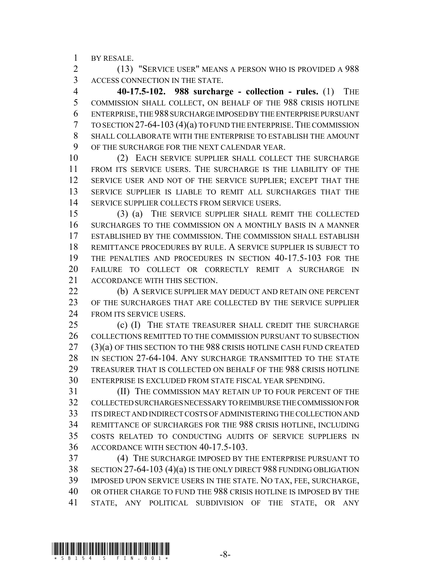BY RESALE.

 (13) "SERVICE USER" MEANS A PERSON WHO IS PROVIDED A 988 ACCESS CONNECTION IN THE STATE.

 **40-17.5-102. 988 surcharge - collection - rules.** (1) THE COMMISSION SHALL COLLECT, ON BEHALF OF THE 988 CRISIS HOTLINE ENTERPRISE, THE 988 SURCHARGE IMPOSED BY THE ENTERPRISE PURSUANT TO SECTION 27-64-103 (4)(a) TO FUND THE ENTERPRISE.THE COMMISSION SHALL COLLABORATE WITH THE ENTERPRISE TO ESTABLISH THE AMOUNT OF THE SURCHARGE FOR THE NEXT CALENDAR YEAR.

 (2) EACH SERVICE SUPPLIER SHALL COLLECT THE SURCHARGE FROM ITS SERVICE USERS. THE SURCHARGE IS THE LIABILITY OF THE SERVICE USER AND NOT OF THE SERVICE SUPPLIER; EXCEPT THAT THE SERVICE SUPPLIER IS LIABLE TO REMIT ALL SURCHARGES THAT THE 14 SERVICE SUPPLIER COLLECTS FROM SERVICE USERS.

 (3) (a) THE SERVICE SUPPLIER SHALL REMIT THE COLLECTED SURCHARGES TO THE COMMISSION ON A MONTHLY BASIS IN A MANNER ESTABLISHED BY THE COMMISSION. THE COMMISSION SHALL ESTABLISH REMITTANCE PROCEDURES BY RULE. A SERVICE SUPPLIER IS SUBJECT TO THE PENALTIES AND PROCEDURES IN SECTION 40-17.5-103 FOR THE FAILURE TO COLLECT OR CORRECTLY REMIT A SURCHARGE IN ACCORDANCE WITH THIS SECTION.

 (b) A SERVICE SUPPLIER MAY DEDUCT AND RETAIN ONE PERCENT OF THE SURCHARGES THAT ARE COLLECTED BY THE SERVICE SUPPLIER 24 FROM ITS SERVICE USERS.

 (c) (I) THE STATE TREASURER SHALL CREDIT THE SURCHARGE COLLECTIONS REMITTED TO THE COMMISSION PURSUANT TO SUBSECTION (3)(a) OF THIS SECTION TO THE 988 CRISIS HOTLINE CASH FUND CREATED IN SECTION 27-64-104. ANY SURCHARGE TRANSMITTED TO THE STATE TREASURER THAT IS COLLECTED ON BEHALF OF THE 988 CRISIS HOTLINE ENTERPRISE IS EXCLUDED FROM STATE FISCAL YEAR SPENDING.

 (II) THE COMMISSION MAY RETAIN UP TO FOUR PERCENT OF THE COLLECTED SURCHARGES NECESSARY TO REIMBURSE THE COMMISSION FOR ITS DIRECT AND INDIRECT COSTS OF ADMINISTERING THE COLLECTION AND REMITTANCE OF SURCHARGES FOR THE 988 CRISIS HOTLINE, INCLUDING COSTS RELATED TO CONDUCTING AUDITS OF SERVICE SUPPLIERS IN ACCORDANCE WITH SECTION 40-17.5-103.

 (4) THE SURCHARGE IMPOSED BY THE ENTERPRISE PURSUANT TO SECTION 27-64-103 (4)(a) IS THE ONLY DIRECT 988 FUNDING OBLIGATION IMPOSED UPON SERVICE USERS IN THE STATE. NO TAX, FEE, SURCHARGE, OR OTHER CHARGE TO FUND THE 988 CRISIS HOTLINE IS IMPOSED BY THE STATE, ANY POLITICAL SUBDIVISION OF THE STATE, OR ANY

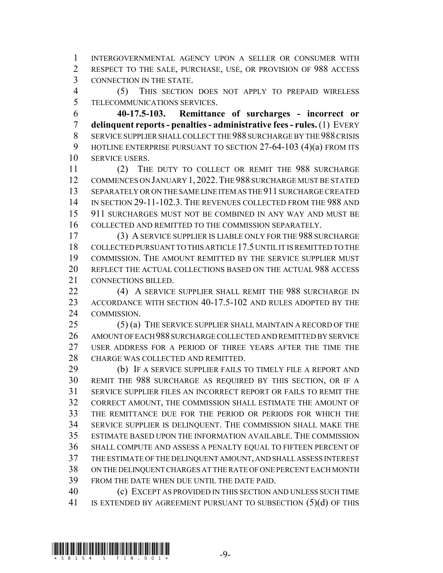INTERGOVERNMENTAL AGENCY UPON A SELLER OR CONSUMER WITH RESPECT TO THE SALE, PURCHASE, USE, OR PROVISION OF 988 ACCESS CONNECTION IN THE STATE.

 (5) THIS SECTION DOES NOT APPLY TO PREPAID WIRELESS TELECOMMUNICATIONS SERVICES.

 **40-17.5-103. Remittance of surcharges - incorrect or delinquent reports - penalties - administrative fees - rules.** (1) EVERY SERVICE SUPPLIER SHALL COLLECT THE 988 SURCHARGE BY THE 988 CRISIS 9 HOTLINE ENTERPRISE PURSUANT TO SECTION 27-64-103 (4)(a) FROM ITS SERVICE USERS.

 (2) THE DUTY TO COLLECT OR REMIT THE 988 SURCHARGE COMMENCES ON JANUARY 1, 2022.THE 988 SURCHARGE MUST BE STATED SEPARATELY OR ON THE SAME LINE ITEM AS THE 911 SURCHARGE CREATED IN SECTION 29-11-102.3. THE REVENUES COLLECTED FROM THE 988 AND 911 SURCHARGES MUST NOT BE COMBINED IN ANY WAY AND MUST BE COLLECTED AND REMITTED TO THE COMMISSION SEPARATELY.

 (3) A SERVICE SUPPLIER IS LIABLE ONLY FOR THE 988 SURCHARGE COLLECTED PURSUANT TO THIS ARTICLE 17.5 UNTIL IT IS REMITTED TO THE COMMISSION. THE AMOUNT REMITTED BY THE SERVICE SUPPLIER MUST REFLECT THE ACTUAL COLLECTIONS BASED ON THE ACTUAL 988 ACCESS CONNECTIONS BILLED.

22 (4) A SERVICE SUPPLIER SHALL REMIT THE 988 SURCHARGE IN ACCORDANCE WITH SECTION 40-17.5-102 AND RULES ADOPTED BY THE COMMISSION.

 (5) (a) THE SERVICE SUPPLIER SHALL MAINTAIN A RECORD OF THE AMOUNT OF EACH 988 SURCHARGE COLLECTED AND REMITTED BY SERVICE USER ADDRESS FOR A PERIOD OF THREE YEARS AFTER THE TIME THE CHARGE WAS COLLECTED AND REMITTED.

29 (b) IF A SERVICE SUPPLIER FAILS TO TIMELY FILE A REPORT AND REMIT THE 988 SURCHARGE AS REQUIRED BY THIS SECTION, OR IF A SERVICE SUPPLIER FILES AN INCORRECT REPORT OR FAILS TO REMIT THE CORRECT AMOUNT, THE COMMISSION SHALL ESTIMATE THE AMOUNT OF THE REMITTANCE DUE FOR THE PERIOD OR PERIODS FOR WHICH THE SERVICE SUPPLIER IS DELINQUENT. THE COMMISSION SHALL MAKE THE ESTIMATE BASED UPON THE INFORMATION AVAILABLE. THE COMMISSION SHALL COMPUTE AND ASSESS A PENALTY EQUAL TO FIFTEEN PERCENT OF THE ESTIMATE OF THE DELINQUENT AMOUNT, AND SHALL ASSESS INTEREST ON THE DELINQUENT CHARGES AT THE RATE OF ONE PERCENT EACH MONTH FROM THE DATE WHEN DUE UNTIL THE DATE PAID.

 (c) EXCEPT AS PROVIDED IN THIS SECTION AND UNLESS SUCH TIME 41 IS EXTENDED BY AGREEMENT PURSUANT TO SUBSECTION (5)(d) OF THIS

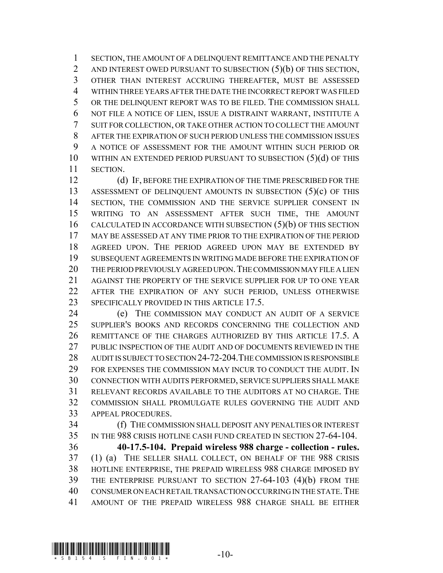SECTION, THE AMOUNT OF A DELINQUENT REMITTANCE AND THE PENALTY 2 AND INTEREST OWED PURSUANT TO SUBSECTION (5)(b) OF THIS SECTION, OTHER THAN INTEREST ACCRUING THEREAFTER, MUST BE ASSESSED WITHIN THREE YEARS AFTER THE DATE THE INCORRECT REPORT WAS FILED OR THE DELINQUENT REPORT WAS TO BE FILED. THE COMMISSION SHALL NOT FILE A NOTICE OF LIEN, ISSUE A DISTRAINT WARRANT, INSTITUTE A SUIT FOR COLLECTION, OR TAKE OTHER ACTION TO COLLECT THE AMOUNT AFTER THE EXPIRATION OF SUCH PERIOD UNLESS THE COMMISSION ISSUES A NOTICE OF ASSESSMENT FOR THE AMOUNT WITHIN SUCH PERIOD OR 10 WITHIN AN EXTENDED PERIOD PURSUANT TO SUBSECTION (5)(d) OF THIS SECTION.

 (d) IF, BEFORE THE EXPIRATION OF THE TIME PRESCRIBED FOR THE ASSESSMENT OF DELINQUENT AMOUNTS IN SUBSECTION (5)(c) OF THIS 14 SECTION, THE COMMISSION AND THE SERVICE SUPPLIER CONSENT IN WRITING TO AN ASSESSMENT AFTER SUCH TIME, THE AMOUNT 16 CALCULATED IN ACCORDANCE WITH SUBSECTION (5)(b) OF THIS SECTION MAY BE ASSESSED AT ANY TIME PRIOR TO THE EXPIRATION OF THE PERIOD AGREED UPON. THE PERIOD AGREED UPON MAY BE EXTENDED BY SUBSEQUENT AGREEMENTS IN WRITING MADE BEFORE THE EXPIRATION OF THE PERIOD PREVIOUSLY AGREED UPON.THE COMMISSION MAY FILE A LIEN AGAINST THE PROPERTY OF THE SERVICE SUPPLIER FOR UP TO ONE YEAR AFTER THE EXPIRATION OF ANY SUCH PERIOD, UNLESS OTHERWISE 23 SPECIFICALLY PROVIDED IN THIS ARTICLE 17.5.

 (e) THE COMMISSION MAY CONDUCT AN AUDIT OF A SERVICE SUPPLIER'S BOOKS AND RECORDS CONCERNING THE COLLECTION AND REMITTANCE OF THE CHARGES AUTHORIZED BY THIS ARTICLE 17.5. A PUBLIC INSPECTION OF THE AUDIT AND OF DOCUMENTS REVIEWED IN THE AUDIT IS SUBJECT TO SECTION 24-72-204.THE COMMISSION IS RESPONSIBLE FOR EXPENSES THE COMMISSION MAY INCUR TO CONDUCT THE AUDIT. IN CONNECTION WITH AUDITS PERFORMED, SERVICE SUPPLIERS SHALL MAKE RELEVANT RECORDS AVAILABLE TO THE AUDITORS AT NO CHARGE. THE COMMISSION SHALL PROMULGATE RULES GOVERNING THE AUDIT AND APPEAL PROCEDURES.

 (f) THE COMMISSION SHALL DEPOSIT ANY PENALTIES OR INTEREST IN THE 988 CRISIS HOTLINE CASH FUND CREATED IN SECTION 27-64-104.

 **40-17.5-104. Prepaid wireless 988 charge - collection - rules.** (1) (a) THE SELLER SHALL COLLECT, ON BEHALF OF THE 988 CRISIS HOTLINE ENTERPRISE, THE PREPAID WIRELESS 988 CHARGE IMPOSED BY THE ENTERPRISE PURSUANT TO SECTION 27-64-103 (4)(b) FROM THE CONSUMER ON EACH RETAIL TRANSACTION OCCURRING IN THE STATE.THE AMOUNT OF THE PREPAID WIRELESS 988 CHARGE SHALL BE EITHER

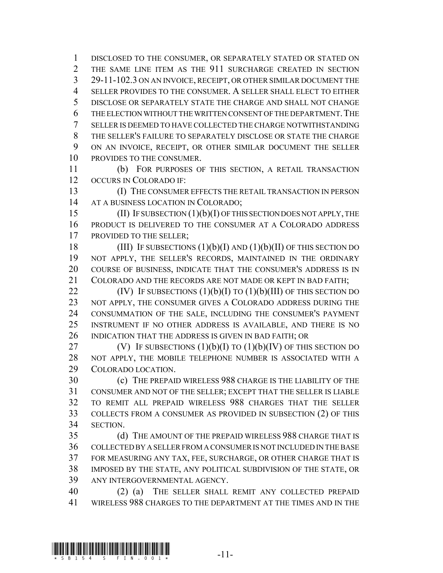DISCLOSED TO THE CONSUMER, OR SEPARATELY STATED OR STATED ON THE SAME LINE ITEM AS THE 911 SURCHARGE CREATED IN SECTION 29-11-102.3 ON AN INVOICE, RECEIPT, OR OTHER SIMILAR DOCUMENT THE SELLER PROVIDES TO THE CONSUMER. A SELLER SHALL ELECT TO EITHER DISCLOSE OR SEPARATELY STATE THE CHARGE AND SHALL NOT CHANGE 6 THE ELECTION WITHOUT THE WRITTEN CONSENT OF THE DEPARTMENT. THE SELLER IS DEEMED TO HAVE COLLECTED THE CHARGE NOTWITHSTANDING THE SELLER'S FAILURE TO SEPARATELY DISCLOSE OR STATE THE CHARGE ON AN INVOICE, RECEIPT, OR OTHER SIMILAR DOCUMENT THE SELLER PROVIDES TO THE CONSUMER.

 (b) FOR PURPOSES OF THIS SECTION, A RETAIL TRANSACTION OCCURS IN COLORADO IF:

 (I) THE CONSUMER EFFECTS THE RETAIL TRANSACTION IN PERSON 14 AT A BUSINESS LOCATION IN COLORADO;

15 (II) IF SUBSECTION (1)(b)(I) OF THIS SECTION DOES NOT APPLY, THE PRODUCT IS DELIVERED TO THE CONSUMER AT A COLORADO ADDRESS 17 PROVIDED TO THE SELLER:

18 (III) IF SUBSECTIONS  $(1)(b)(I)$  AND  $(1)(b)(II)$  OF THIS SECTION DO NOT APPLY, THE SELLER'S RECORDS, MAINTAINED IN THE ORDINARY COURSE OF BUSINESS, INDICATE THAT THE CONSUMER'S ADDRESS IS IN COLORADO AND THE RECORDS ARE NOT MADE OR KEPT IN BAD FAITH;

 $(IV)$  IF SUBSECTIONS  $(1)(b)(I)$  TO  $(1)(b)(III)$  OF THIS SECTION DO 23 NOT APPLY, THE CONSUMER GIVES A COLORADO ADDRESS DURING THE CONSUMMATION OF THE SALE, INCLUDING THE CONSUMER'S PAYMENT INSTRUMENT IF NO OTHER ADDRESS IS AVAILABLE, AND THERE IS NO INDICATION THAT THE ADDRESS IS GIVEN IN BAD FAITH; OR

27 (V) IF SUBSECTIONS  $(1)(b)(I)$  TO  $(1)(b)(IV)$  OF THIS SECTION DO NOT APPLY, THE MOBILE TELEPHONE NUMBER IS ASSOCIATED WITH A COLORADO LOCATION.

 (c) THE PREPAID WIRELESS 988 CHARGE IS THE LIABILITY OF THE CONSUMER AND NOT OF THE SELLER; EXCEPT THAT THE SELLER IS LIABLE TO REMIT ALL PREPAID WIRELESS 988 CHARGES THAT THE SELLER COLLECTS FROM A CONSUMER AS PROVIDED IN SUBSECTION (2) OF THIS SECTION.

 (d) THE AMOUNT OF THE PREPAID WIRELESS 988 CHARGE THAT IS COLLECTED BY A SELLER FROM A CONSUMER IS NOT INCLUDED IN THE BASE FOR MEASURING ANY TAX, FEE, SURCHARGE, OR OTHER CHARGE THAT IS IMPOSED BY THE STATE, ANY POLITICAL SUBDIVISION OF THE STATE, OR ANY INTERGOVERNMENTAL AGENCY.

 (2) (a) THE SELLER SHALL REMIT ANY COLLECTED PREPAID WIRELESS 988 CHARGES TO THE DEPARTMENT AT THE TIMES AND IN THE

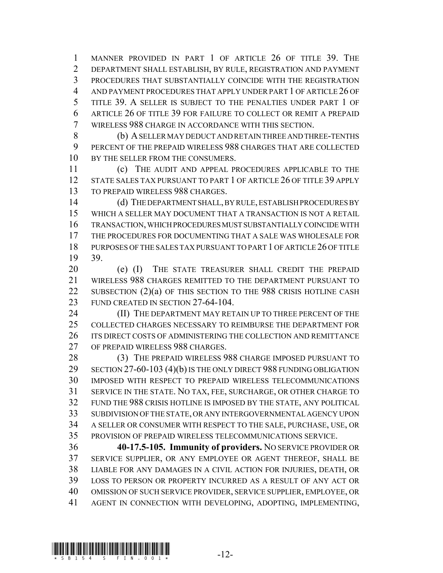MANNER PROVIDED IN PART 1 OF ARTICLE 26 OF TITLE 39. THE DEPARTMENT SHALL ESTABLISH, BY RULE, REGISTRATION AND PAYMENT PROCEDURES THAT SUBSTANTIALLY COINCIDE WITH THE REGISTRATION AND PAYMENT PROCEDURES THAT APPLY UNDER PART 1 OF ARTICLE 26 OF TITLE 39. A SELLER IS SUBJECT TO THE PENALTIES UNDER PART 1 OF ARTICLE 26 OF TITLE 39 FOR FAILURE TO COLLECT OR REMIT A PREPAID WIRELESS 988 CHARGE IN ACCORDANCE WITH THIS SECTION.

 (b) A SELLER MAY DEDUCT AND RETAIN THREE AND THREE-TENTHS PERCENT OF THE PREPAID WIRELESS 988 CHARGES THAT ARE COLLECTED 10 BY THE SELLER FROM THE CONSUMERS.

 (c) THE AUDIT AND APPEAL PROCEDURES APPLICABLE TO THE 12 STATE SALES TAX PURSUANT TO PART 1 OF ARTICLE 26 OF TITLE 39 APPLY TO PREPAID WIRELESS 988 CHARGES.

 (d) THE DEPARTMENT SHALL, BY RULE, ESTABLISH PROCEDURES BY WHICH A SELLER MAY DOCUMENT THAT A TRANSACTION IS NOT A RETAIL TRANSACTION, WHICH PROCEDURES MUST SUBSTANTIALLY COINCIDE WITH THE PROCEDURES FOR DOCUMENTING THAT A SALE WAS WHOLESALE FOR PURPOSES OF THE SALES TAX PURSUANT TO PART 1 OF ARTICLE 26 OF TITLE 39.

20 (e) (I) THE STATE TREASURER SHALL CREDIT THE PREPAID WIRELESS 988 CHARGES REMITTED TO THE DEPARTMENT PURSUANT TO 22 SUBSECTION (2)(a) OF THIS SECTION TO THE 988 CRISIS HOTLINE CASH 23 FUND CREATED IN SECTION 27-64-104.

**(II) THE DEPARTMENT MAY RETAIN UP TO THREE PERCENT OF THE** 25 COLLECTED CHARGES NECESSARY TO REIMBURSE THE DEPARTMENT FOR ITS DIRECT COSTS OF ADMINISTERING THE COLLECTION AND REMITTANCE OF PREPAID WIRELESS 988 CHARGES.

 (3) THE PREPAID WIRELESS 988 CHARGE IMPOSED PURSUANT TO 29 SECTION 27-60-103 (4)(b) IS THE ONLY DIRECT 988 FUNDING OBLIGATION IMPOSED WITH RESPECT TO PREPAID WIRELESS TELECOMMUNICATIONS SERVICE IN THE STATE. NO TAX, FEE, SURCHARGE, OR OTHER CHARGE TO FUND THE 988 CRISIS HOTLINE IS IMPOSED BY THE STATE, ANY POLITICAL SUBDIVISION OF THE STATE, OR ANY INTERGOVERNMENTAL AGENCY UPON A SELLER OR CONSUMER WITH RESPECT TO THE SALE, PURCHASE, USE, OR PROVISION OF PREPAID WIRELESS TELECOMMUNICATIONS SERVICE.

 **40-17.5-105. Immunity of providers.** NO SERVICE PROVIDER OR SERVICE SUPPLIER, OR ANY EMPLOYEE OR AGENT THEREOF, SHALL BE LIABLE FOR ANY DAMAGES IN A CIVIL ACTION FOR INJURIES, DEATH, OR LOSS TO PERSON OR PROPERTY INCURRED AS A RESULT OF ANY ACT OR OMISSION OF SUCH SERVICE PROVIDER, SERVICE SUPPLIER, EMPLOYEE, OR AGENT IN CONNECTION WITH DEVELOPING, ADOPTING, IMPLEMENTING,